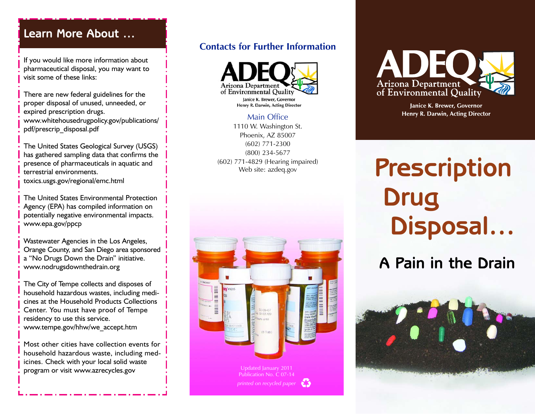# **Learn More About …**

If you would like more information about pharmaceutical disposal, you may want to visit some of these links:

There are new federal guidelines for the proper disposal of unused, unneeded, or expired prescription drugs. www.whitehousedrugpolicy.gov/publications/ pdf/prescrip\_disposal.pdf

The United States Geological Survey (USGS) has gathered sampling data that confirms the presence of pharmaceuticals in aquatic and terrestrial environments. toxics.usgs.gov/regional/emc.html

The United States Environmental Protection Agency (EPA) has compiled information on potentially negative environmental impacts. www.epa.gov/ppcp

Wastewater Agencies in the Los Angeles, Orange County, and San Diego area sponsored a "No Drugs Down the Drain" initiative. www.nodrugsdownthedrain.org

The City of Tempe collects and disposes of household hazardous wastes, including medicines at the Household Products Collections Center. You must have proof of Tempe residency to use this service. www.tempe.gov/hhw/we\_accept.htm

Most other cities have collection events for household hazardous waste, including medicines. Check with your local solid waste program or visit www.azrecycles.gov

## **Contacts for Further Information**



#### Main Office

1110 W. Washington St. Phoenix, AZ 85007 (602) 771-2300 (800) 234-5677 (602) 771-4829 (Hearing impaired) Web site: azdeq.gov





Janice K. Brewer, Governor Henry R. Darwin, Acting Director

# **Prescription Drug Disposal…**

# **A Pain in the Drain**